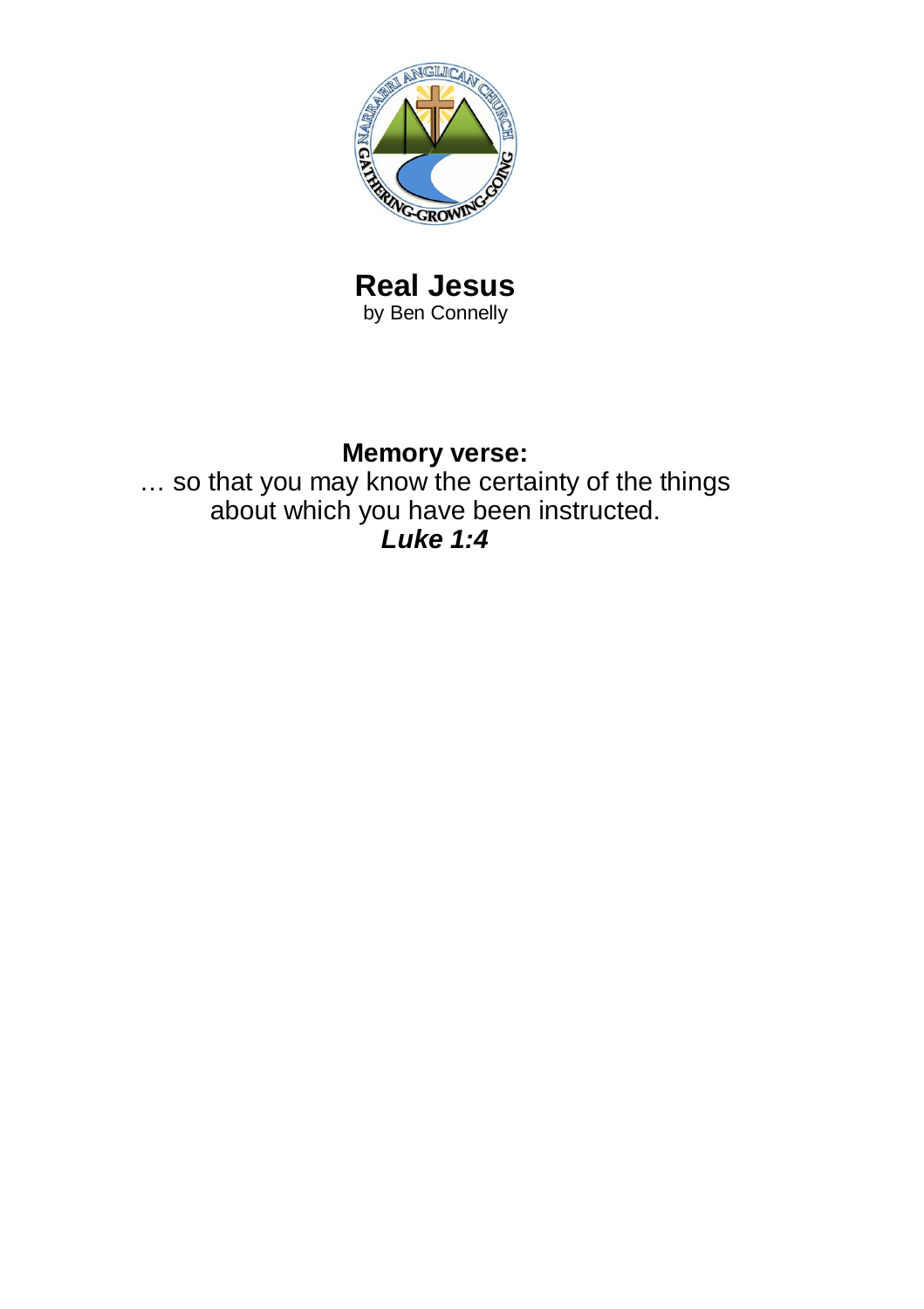

#### **Real Jesus** by Ben Connelly

# **Memory verse:**

… so that you may know the certainty of the things about which you have been instructed. *Luke 1:4*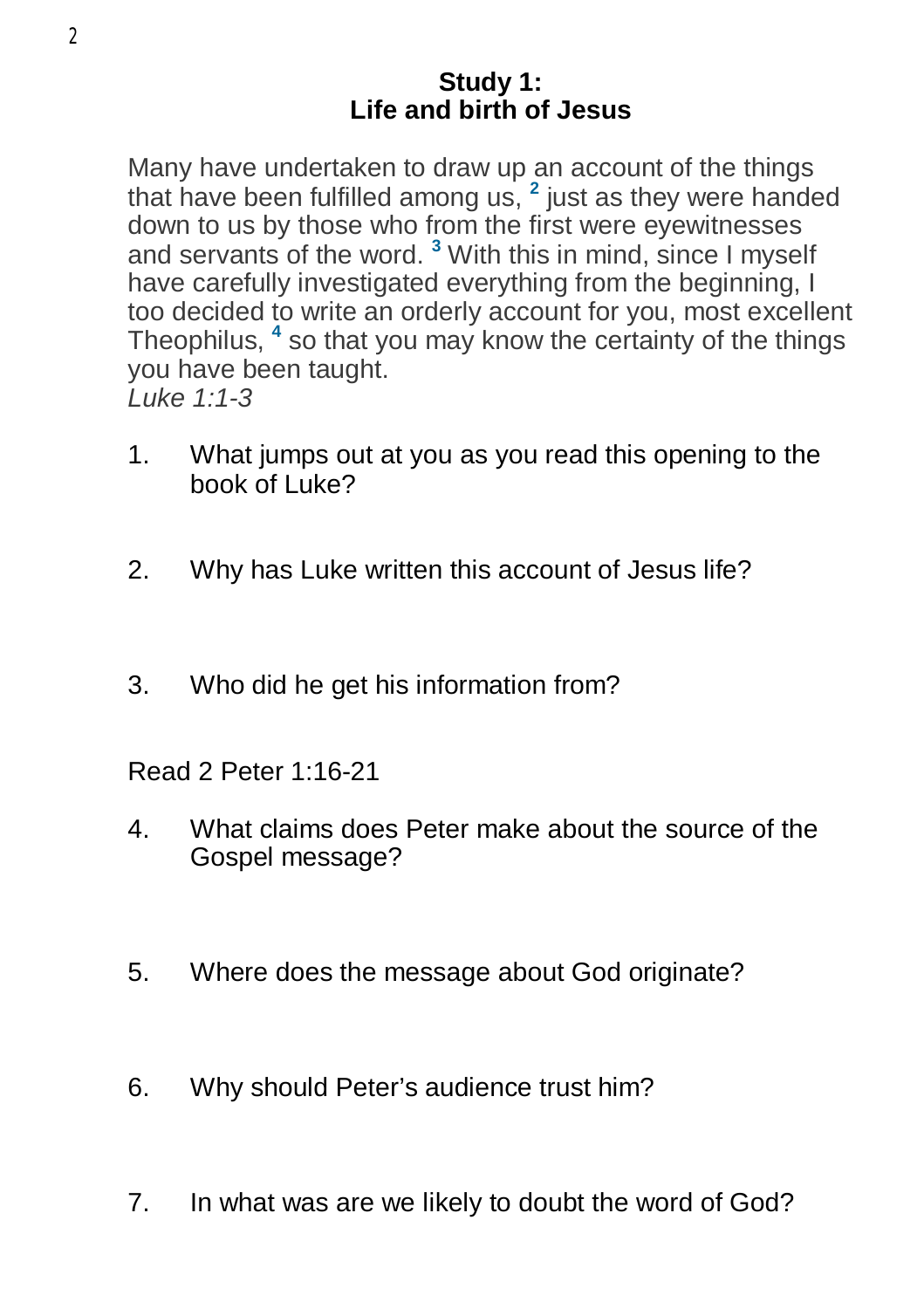#### **Study 1: Life and birth of Jesus**

Many have undertaken to draw up an account of the things that have been fulfilled among us, **<sup>2</sup>** just as they were handed down to us by those who from the first were eyewitnesses and servants of the word. **<sup>3</sup>** With this in mind, since I myself have carefully investigated everything from the beginning, I too decided to write an orderly account for you, most excellent Theophilus, **<sup>4</sup>** so that you may know the certainty of the things you have been taught. *Luke 1:1-3*

- 1. What jumps out at you as you read this opening to the book of Luke?
- 2. Why has Luke written this account of Jesus life?
- 3. Who did he get his information from?
- Read 2 Peter 1:16-21
- 4. What claims does Peter make about the source of the Gospel message?
- 5. Where does the message about God originate?
- 6. Why should Peter's audience trust him?
- 7. In what was are we likely to doubt the word of God?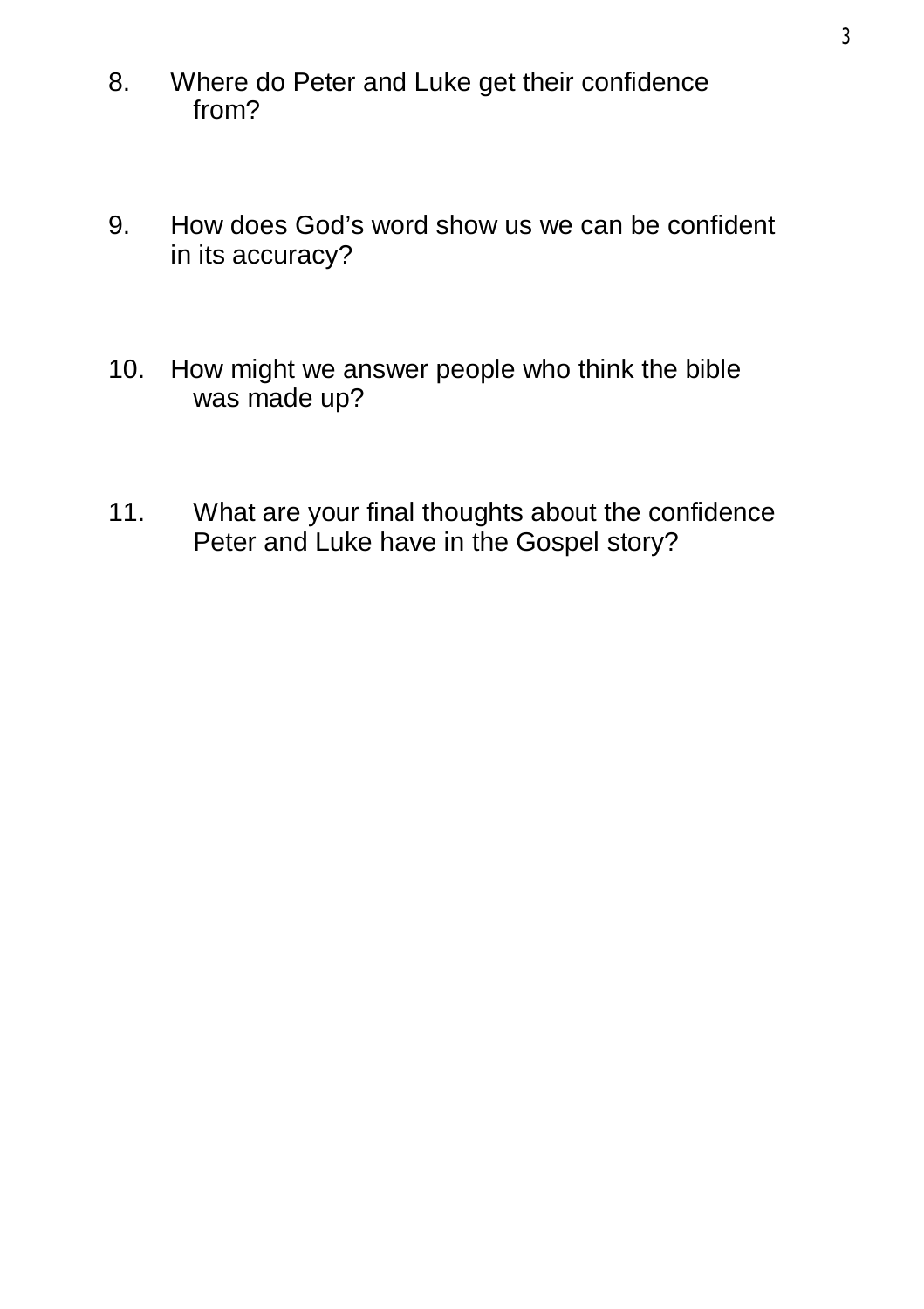- 8. Where do Peter and Luke get their confidence from?
- 9. How does God's word show us we can be confident in its accuracy?
- 10. How might we answer people who think the bible was made up?
- 11. What are your final thoughts about the confidence Peter and Luke have in the Gospel story?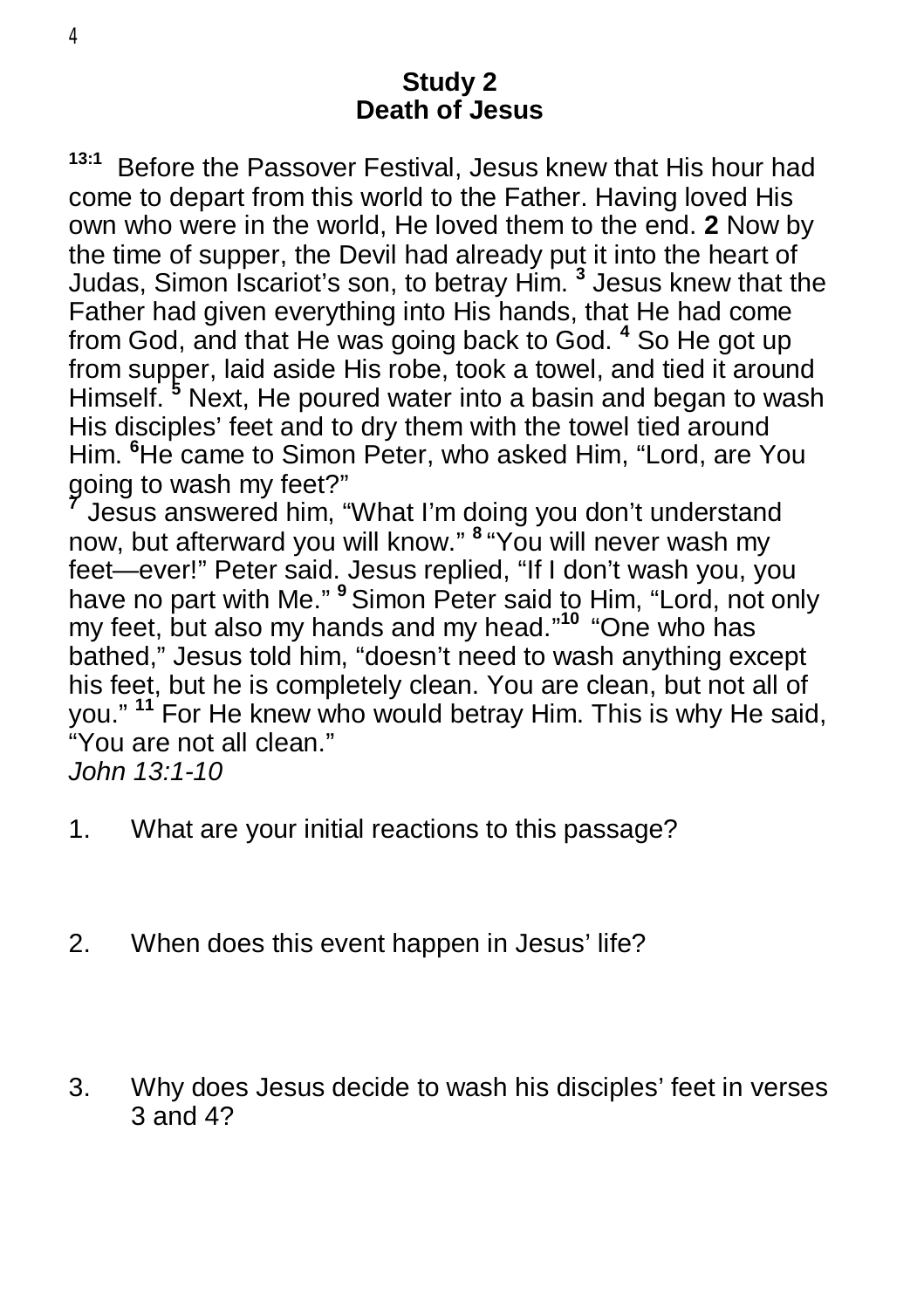## **Study 2 Death of Jesus**

**13:1** Before the Passover Festival, Jesus knew that His hour had come to depart from this world to the Father. Having loved His own who were in the world, He loved them to the end. **2** Now by the time of supper, the Devil had already put it into the heart of Judas, Simon Iscariot's son, to betray Him. **<sup>3</sup>** Jesus knew that the Father had given everything into His hands, that He had come from God, and that He was going back to God. **<sup>4</sup>** So He got up from supper, laid aside His robe, took a towel, and tied it around Himself. **<sup>5</sup>** Next, He poured water into a basin and began to wash His disciples' feet and to dry them with the towel tied around Him. **<sup>6</sup>**He came to Simon Peter, who asked Him, "Lord, are You going to wash my feet?"

**7** Jesus answered him, "What I'm doing you don't understand now, but afterward you will know." **<sup>8</sup>** "You will never wash my feet—ever!" Peter said. Jesus replied, "If I don't wash you, you have no part with Me." **<sup>9</sup>** Simon Peter said to Him, "Lord, not only my feet, but also my hands and my head." **10**  "One who has bathed," Jesus told him, "doesn't need to wash anything except his feet, but he is completely clean. You are clean, but not all of you." **<sup>11</sup>** For He knew who would betray Him. This is why He said, "You are not all clean."

*John 13:1-10*

- 1. What are your initial reactions to this passage?
- 2. When does this event happen in Jesus' life?
- 3. Why does Jesus decide to wash his disciples' feet in verses 3 and 4?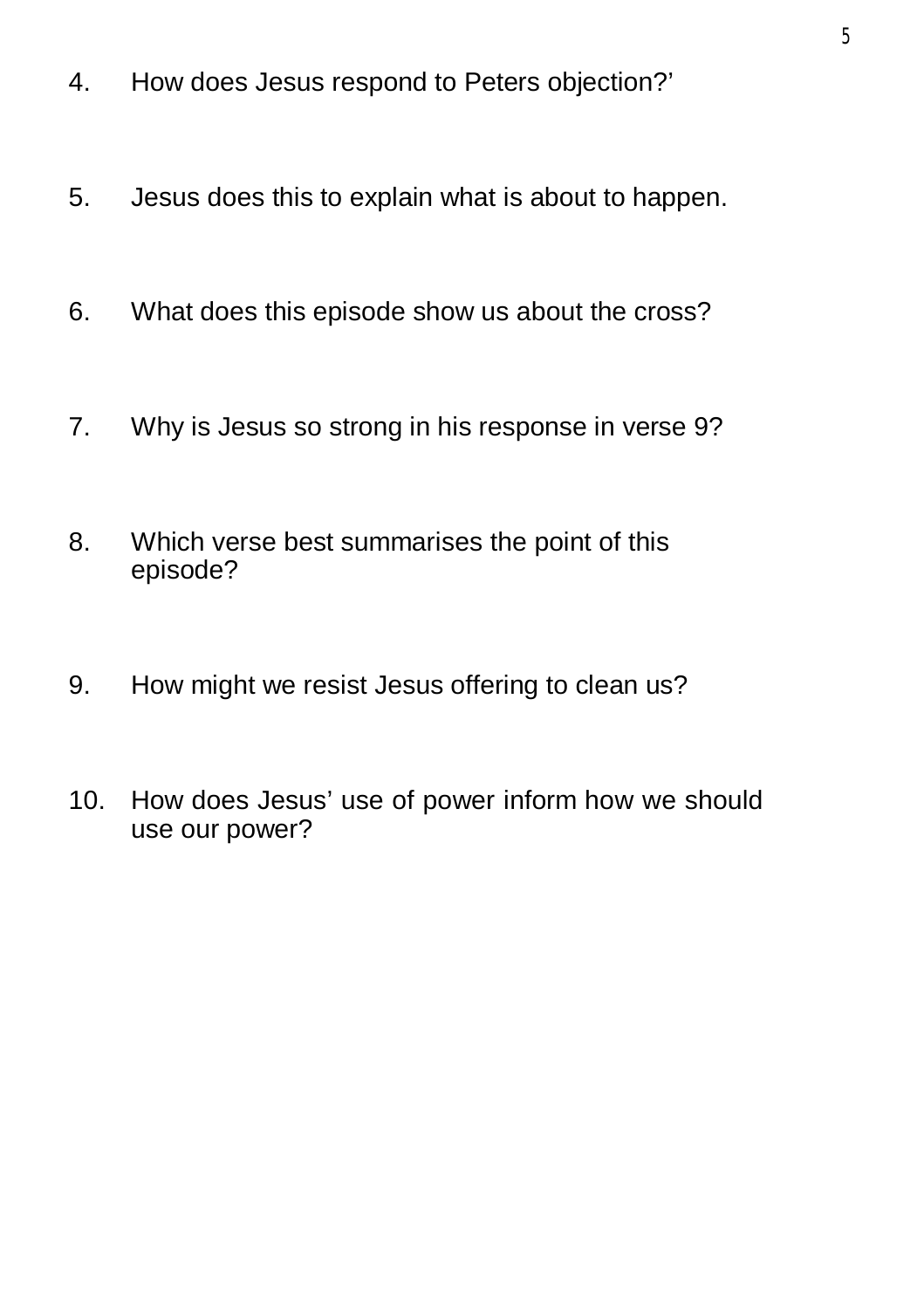- 4. How does Jesus respond to Peters objection?'
- 5. Jesus does this to explain what is about to happen.
- 6. What does this episode show us about the cross?
- 7. Why is Jesus so strong in his response in verse 9?
- 8. Which verse best summarises the point of this episode?
- 9. How might we resist Jesus offering to clean us?
- 10. How does Jesus' use of power inform how we should use our power?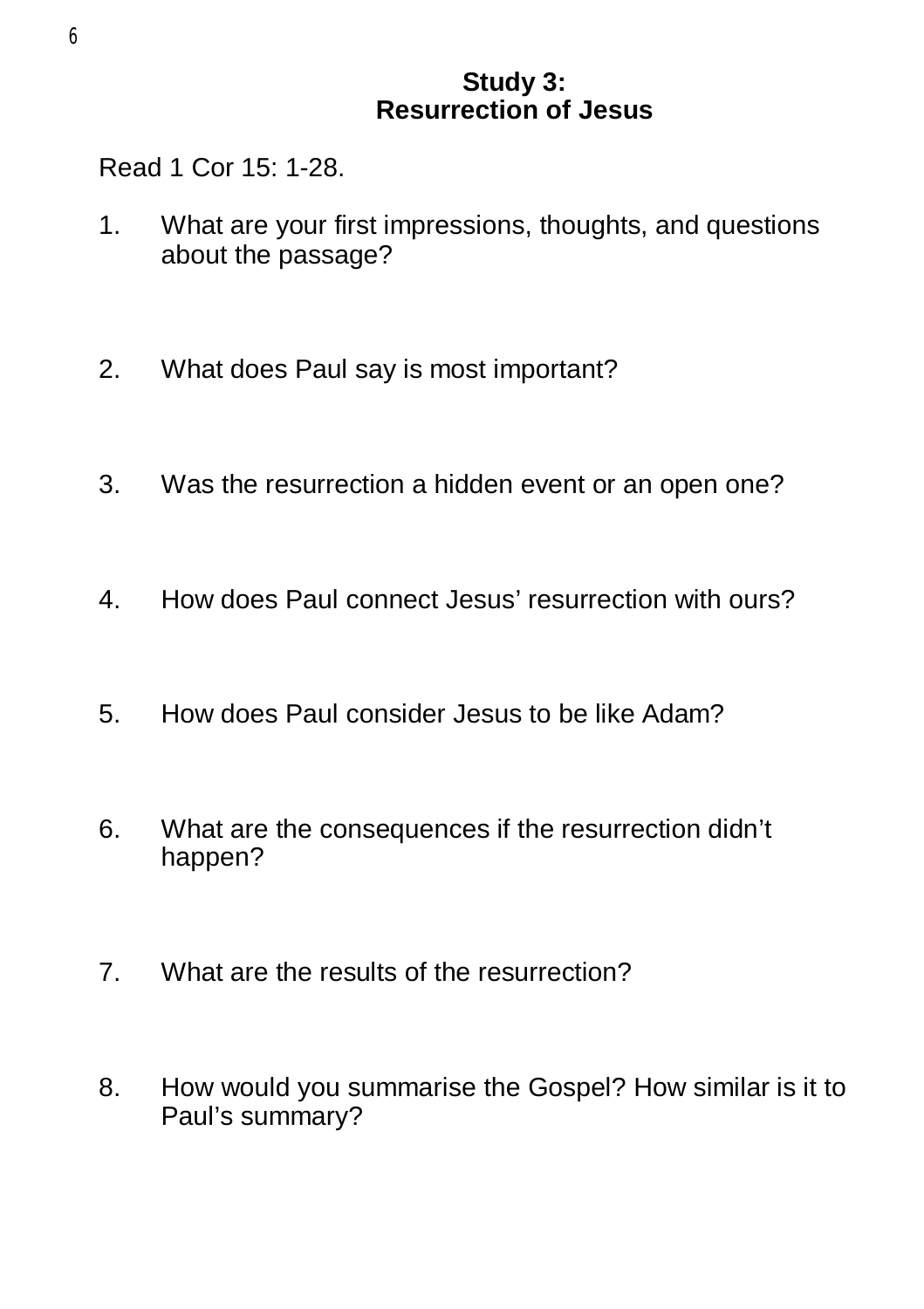## **Study 3: Resurrection of Jesus**

Read 1 Cor 15: 1-28.

- 1. What are your first impressions, thoughts, and questions about the passage?
- 2. What does Paul say is most important?
- 3. Was the resurrection a hidden event or an open one?
- 4. How does Paul connect Jesus' resurrection with ours?
- 5. How does Paul consider Jesus to be like Adam?
- 6. What are the consequences if the resurrection didn't happen?
- 7. What are the results of the resurrection?
- 8. How would you summarise the Gospel? How similar is it to Paul's summary?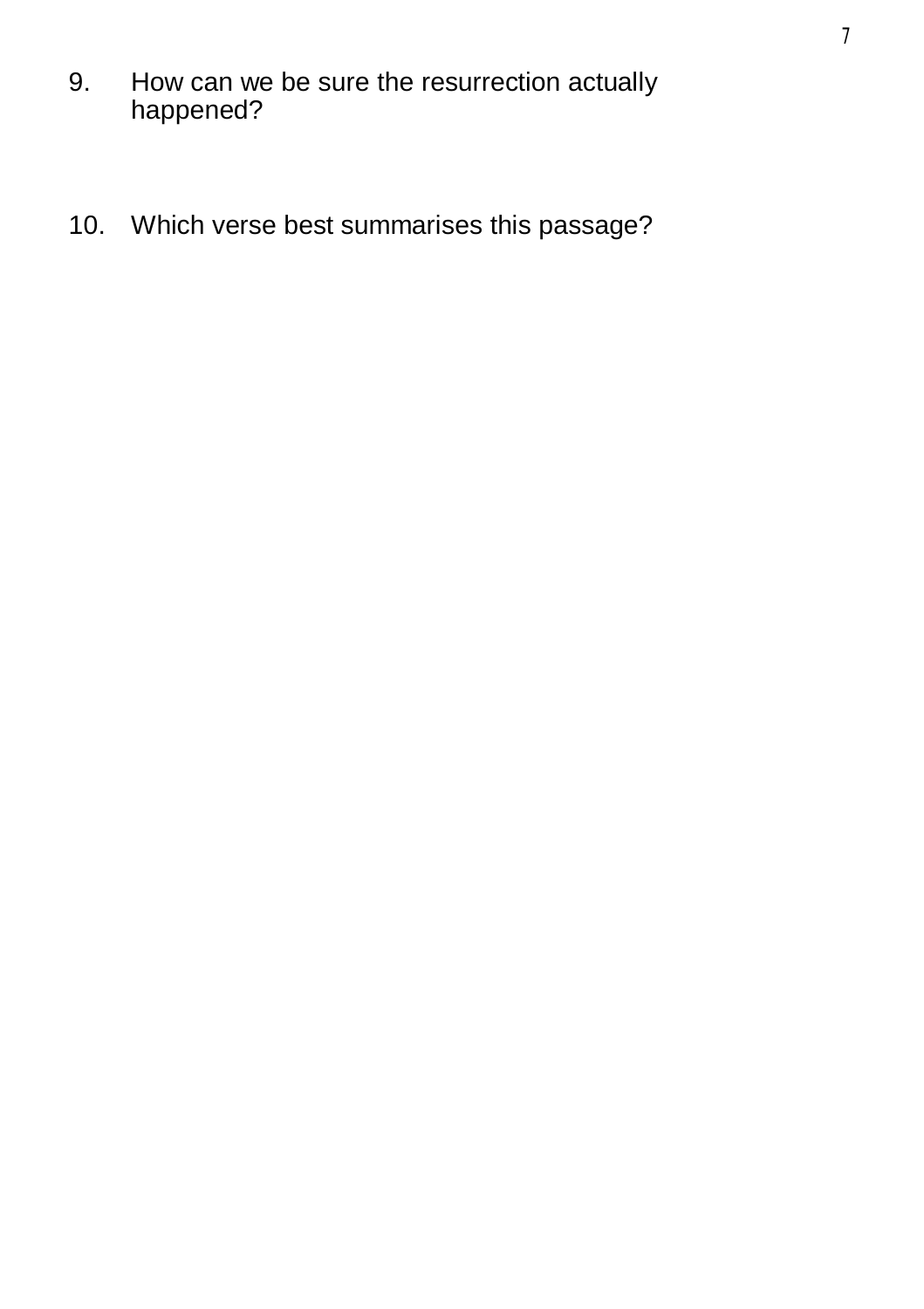- 9. How can we be sure the resurrection actually happened?
- 10. Which verse best summarises this passage?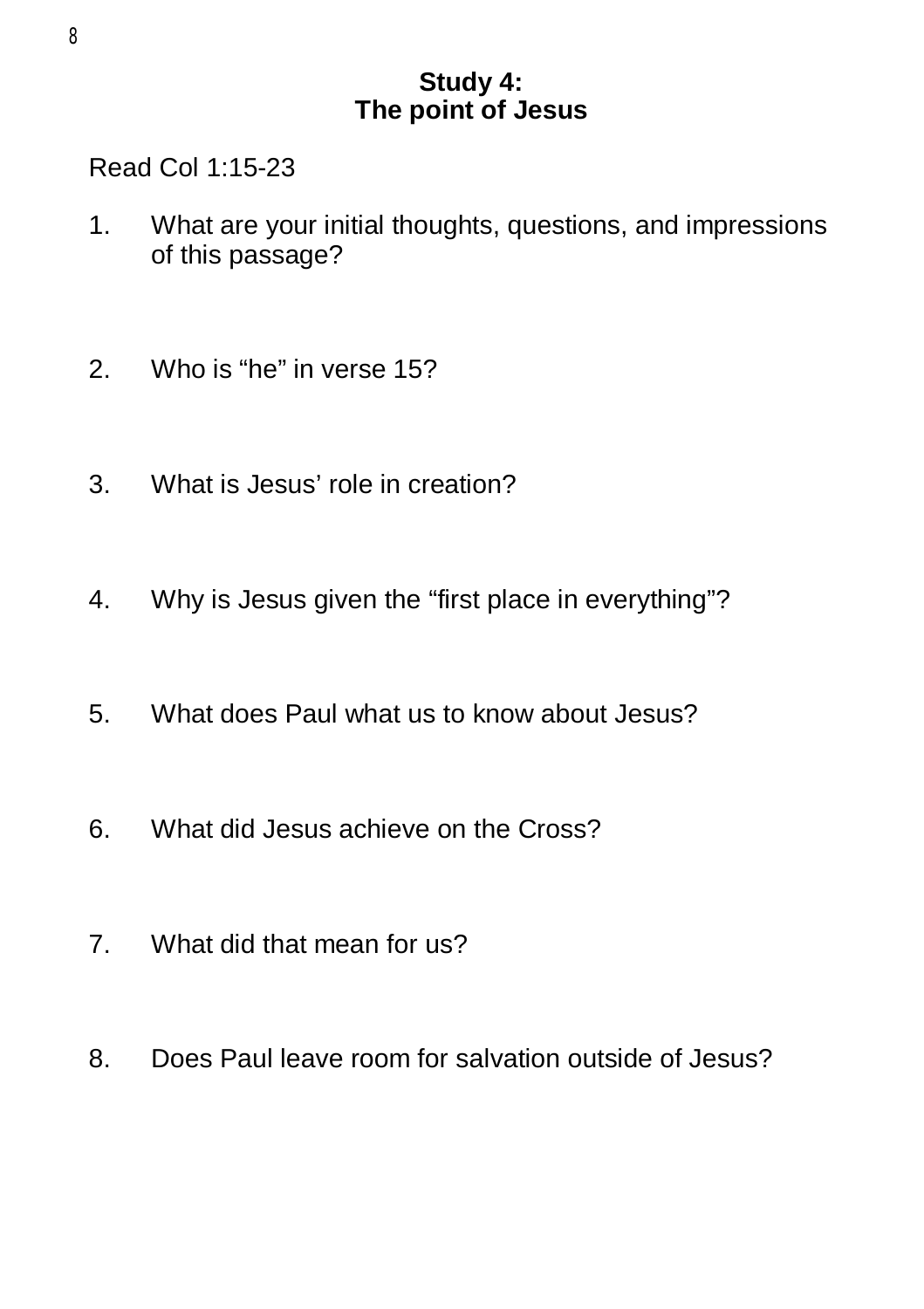# **Study 4: The point of Jesus**

Read Col 1:15-23

- 1. What are your initial thoughts, questions, and impressions of this passage?
- 2. Who is "he" in verse 15?
- 3. What is Jesus' role in creation?
- 4. Why is Jesus given the "first place in everything"?
- 5. What does Paul what us to know about Jesus?
- 6. What did Jesus achieve on the Cross?
- 7. What did that mean for us?
- 8. Does Paul leave room for salvation outside of Jesus?